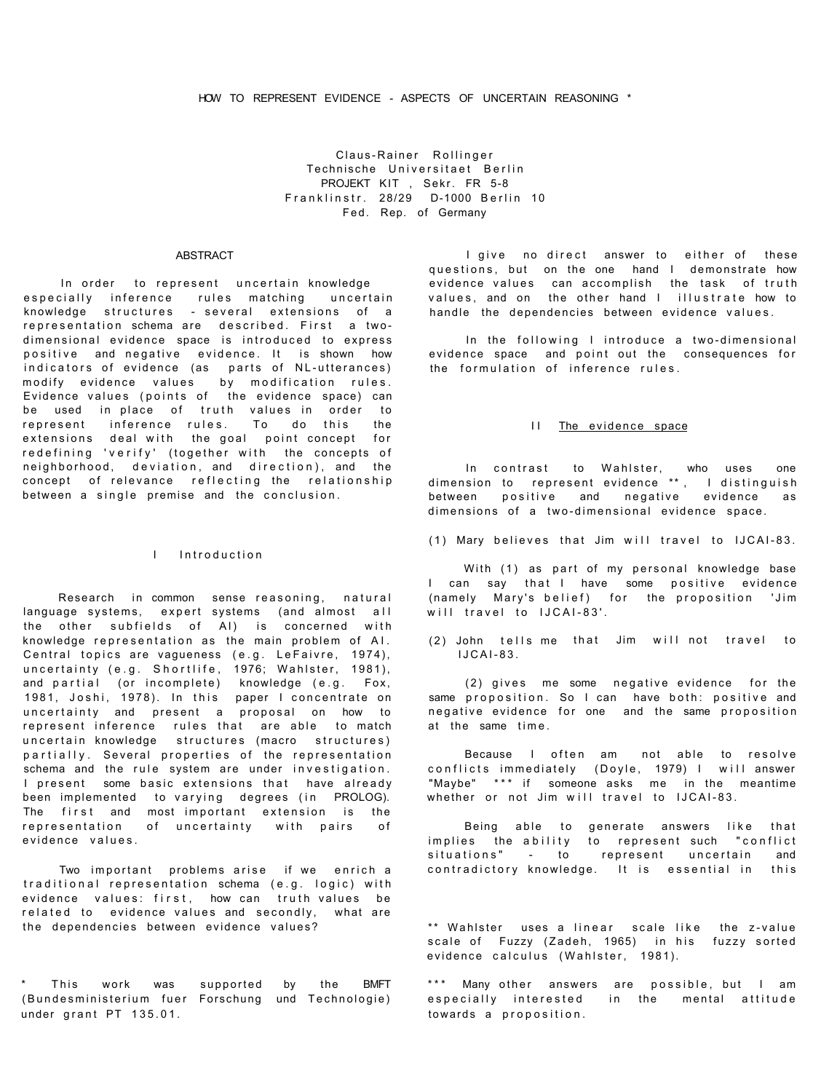Claus-Rainer Rollinger Technische Universitaet Berlin PROJEKT KIT , Sekr. FR 5-8 Franklinstr. 28/29 D-1000 Berlin 10 Fed. Rep. of Germany

## ABSTRACT

In order to represent uncertain knowledge especially inference rules matching uncertain knowledge structures - several extensions of a representation schema are described. First a twodimensional evidence space is introduced to express positive and negative evidence. It is shown how indicators of evidence (as parts of NL-utterances) modify evidence values by modification rules. Evidence values (points of the evidence space) can be used in place of truth values in order to represent inference rules. To do this the extensions deal with the goal point concept for redefining 'verify' (together with the concepts of neighborhood, deviation, and direction), and the concept of relevance reflecting the relationship between a single premise and the conclusion.

# I Introduction

Research in common sense reasoning, natural language systems, expert systems (and almost all the other subfields of AI) is concerned with knowledge representation as the main problem of AI. Central topics are vagueness (e.g. LeFaivre, 1974), uncertainty (e.g. Shortlife, 1976; Wahlster, 1981), and partial (or incomplete) knowledge (e.g. Fox, 1981, Joshi, 1978). In this paper I concentrate on uncertainty and present a proposal on how to represent inference rules that are able to match uncertain knowledge structures (macro structures) partially. Several properties of the representation schema and the rule system are under investigation. I present some basic extensions that have already been implemented to varying degrees (in PROLOG). The first and most important extension is the representation of uncertainty with pairs of evidence values.

Two important problems arise if we enrich a traditional representation schema (e.g. logic) with evidence values: first, how can truth values be related to evidence values and secondly, what are the dependencies between evidence values?

This work was (Bundesministerium fuer Forschung und Technologie) under grant  $PT$  135.01. supported by the BMFT

I give no direct answer to either of these questions, but on the one hand I demonstrate how evidence values can accomplish the task of truth values, and on the other hand I illustrate how to handle the dependencies between evidence values.

In the following I introduce a two-dimensional evidence space and point out the consequences for the formulation of inference rules.

### II The evidence space

In contrast to Wahlster, who uses one dimension to represent evidence \*\*, I distinguish  $between$  positive and negative evidence as  $dimensions$  of a two-dimensional evidence space.

(1) Mary believes that Jim will travel to IJCAI-83.

With (1) as part of my personal knowledge base I can say that I have some positive evidence (namely Mary's belief) for the proposition 'Jim will travel to IJCAI-83'.

(2) John tells me that Jim will not travel to  $IJCAI-83$ .

 $(2)$  gives me some negative evidence for the same proposition. So I can have both: positive and negative evidence for one and the same proposition at the same time .

Because I often am not able to resolve conflicts immediately (Doyle, 1979) I will answer "Maybe" \*\* \* if someone asks me in the meantime whether or not Jim will travel to IJCAI-83.

Being able to generate answers like that implies the ability to represent such "conflict situations" - to represent uncertain and contradictory knowledge. It is essential in this

\*\* Wahlster uses a linear scale like the z-value scale of Fuzzy (Zadeh, 1965) in his fuzzy sorted evidence calculus (Wahlster, 1981).

\*\*\* Many other answers are possible, but I am especially interested in the mental attitude towards a proposition .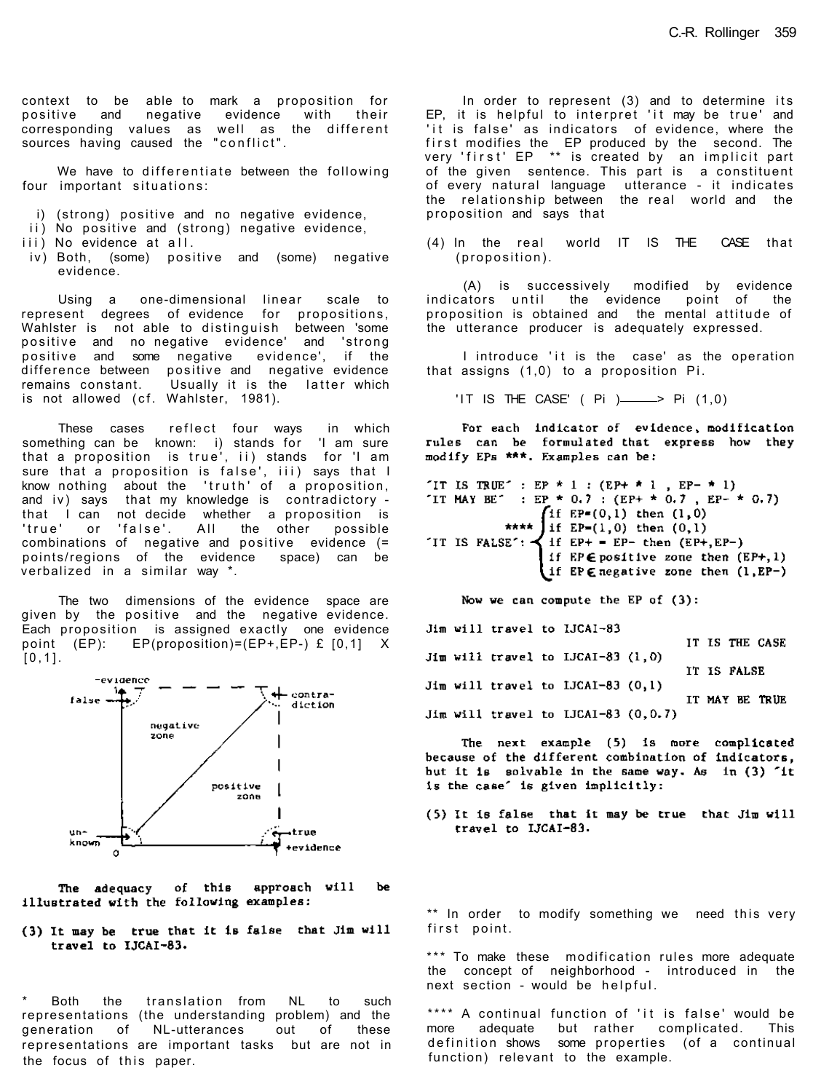context to be able to mark a proposition for positive and negative evidence with their corresponding values as well as the different sources having caused the "conflict" .

We have to differentiate between the following four important situations:

- i) (strong) positive and no negative evidence,
- ii) No positive and (strong) negative evidence,
- iii) No evidence at all.
- iv) Both, (some) positive and (some) negative evidence.

Using a one-dimensional linear scale to represent degrees of evidence for propositions, Wahlster is not able to distinguish between 'some positive and no-negative evidence' and 'strong positive and some negative evidence', if the difference between positive and negative evidence remains constant. Usually it is the latter which is not allowed (cf. Wahlster, 1981).

These cases reflect four ways in which something can be known: i) stands for 'I am sure that a proposition is true', ii) stands for 'I am sure that a proposition is false', iii) says that I know nothing about the 'truth' of a proposition, and  $iv$ ) says that my knowledge is contradictory that I can not decide whether a proposition is<br>'true' or 'false'. All the other possible or 'false'. All the other possible combinations of negative and positive evidence (= points/regions of the evidence space) can be verbalized in a similar way \*.

The two dimensions of the evidence space are given by the positive and the negative evidence. Each proposition is assigned exactly one evidence point (EP): EP(proposition)=(EP+,EP-) £ [0,1] X  $[0,1]$ .



of this approach will be The adequacy illustrated with the following examples:

(3) It may be true that it is false that Jim will travel to IJCAI-83.

Both the translation from NL to such representations (the understanding problem) and the generation of NL-utterances out of these representations are important tasks but are not in the focus of this paper.

In order to represent  $(3)$  and to determine its EP, it is helpful to interpret 'it may be true' and 'it is false' as indicators of evidence, where the first modifies the EP produced by the second. The very 'first' EP \*\* is created by an implicit part of the given sentence. This part is a constituent of every natural language utterance - it indicates the relationship between the real world and the proposition and says that

 $(4)$  In the real world IT IS THE CASE that (proposition).

(A) is successively modified by evidence indicators until the evidence point of the proposition is obtained and the mental attitude of the utterance producer is adequately expressed.

I introduce 'it is the case' as the operation that assigns  $(1,0)$  to a proposition Pi.

'IT IS THE CASE' ( $Pi$ )  $\longrightarrow$  Pi (1,0)

For each indicator of evidence, modification rules can be formulated that express how they modify EPs \*\*\*. Examples can be:

```
"IT IS TRUE" : EP * 1 : (EP+ * 1 , EP- * 1)
"IT MAY BE" : EP * 0.7 : (EP+ * 0.7, EP- * 0.7)
             **** \intif EP=(0,1) then (1,0)<br>**** If EP=(1,0) then (0,1)
TT IS FALSE': \prec if EP+ = EP- then (EP+, EP-)
                   if EP \in postive zone then (EP+, 1)(if EP \in \text{negative zone} then (1, EP-)
```
Now we can compute the EP of  $(3)$ :

Jim will travel to IJCAI-83

|  |  |                                        |  |             | IT IS THE CASE |  |
|--|--|----------------------------------------|--|-------------|----------------|--|
|  |  | $Jim$ will travel to IJCAI-83 $(1,0)$  |  |             |                |  |
|  |  |                                        |  | IT IS FALSE |                |  |
|  |  | $Jim$ will travel to IJCAI-83 $(0,1)$  |  |             |                |  |
|  |  |                                        |  |             | IT MAY BE TRUE |  |
|  |  | Jim will travel to IJCAI-83 $(0, 0.7)$ |  |             |                |  |
|  |  |                                        |  |             |                |  |

The next example (5) is nore complicated because of the different combination of indicators. but it is solvable in the same way. As in (3) 'it is the case' is given implicitly:

(5) It is false that it may be true that Jim will travel to IJCAI-83.

\*\* In order to modify something we need this very first point.

\*\*\* To make these modification rules more adequate the concept of neighborhood - introduced in the next section - would be helpful.

\*\*\*\* A continual function of 'it is false' would be more adequate but rather complicated. This definition shows some properties (of a continual function) relevant to the example.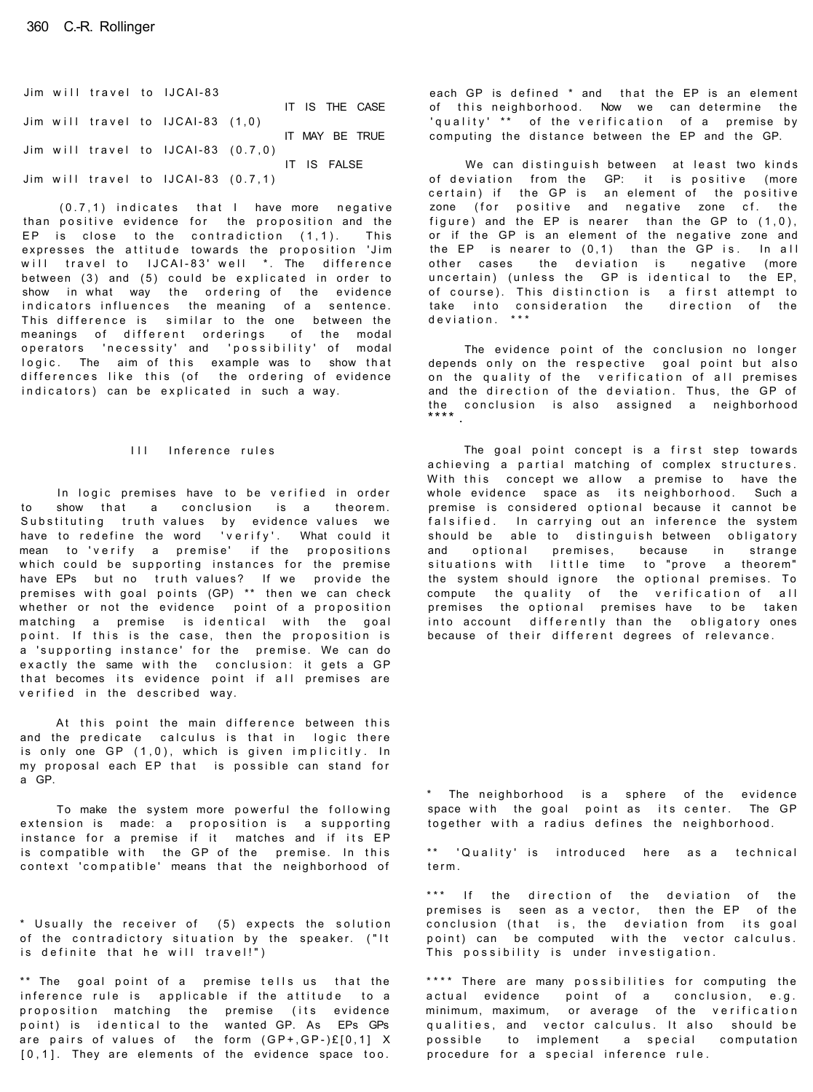Jim will travel to IJCAI-83 IT IS THE CASE Jim will travel to IJCAI-83 (1,0) IT MAY BE TRUE Jim will travel to IJCAI-83  $(0.7,0)$ IT IS FALSE Jim will travel to IJCAI-83  $(0.7,1)$ 

 $(0.7, 1)$  indicates that I have more negative than positive evidence for the proposition and the EP is close to the contradiction  $(1,1)$ . This expresses the attitude towards the proposition 'Jim will travel to IJCAI-83' well \*. The difference between (3) and (5) could be explicated in order to show in what way the ordering of the evidence indicators influences the meaning of a sentence. This difference is similar to the one between the meanings of different orderings of the modal operators 'necessity' and 'possibility' of modal logic. The aim of this example was to show that differences like this (of the ordering of evidence indicators) can be explicated in such a way.

## III Inference rules

In logic premises have to be verified in order to show that a conclusion is a theorem. Substituting truth values by evidence values we have to redefine the word 'verify'. What could it mean to 'verify a premise' if the propositions which could be supporting instances for the premise have EPs but no truth values? If we provide the premises with goal points (GP) \*\* then we can check whether or not the evidence point of a proposition matching a premise is identical with the goal point. If this is the case, then the proposition is a 'supporting instance' for the premise. We can do exactly the same with the conclusion: it gets a GP that becomes its evidence point if all premises are verified in the described way.

At this point the main difference between this and the predicate calculus is that in logic there is only one GP  $(1,0)$ , which is given implicitly. In my proposal each EP that is possible can stand for a GP.

To make the system more powerful the following extension is made: a proposition is a supporting instance for a premise if it matches and if its EP is compatible with the GP of the premise. In this context 'compatible' means that the neighborhood of

\* Usually the receiver of (5) expects the solution of the contradictory situation by the speaker. ("It is definite that he will travel!")

 $**$  The goal point of a premise tells us that the inference rule is applicable if the attitude to a proposition matching the premise (its evidence point) is identical to the wanted GP. As EPs GPs are pairs of values of the form  $(GP+, GP-)E[0,1]$  X  $[0,1]$ . They are elements of the evidence space too.

each GP is defined \* and that the EP is an element of this neighborhood. Now we can determine the 'quality' \*\* of the verification of a premise by computing the distance between the EP and the GP.

We can distinguish between at least two kinds of deviation from the GP: it is positive (more  $certain$  if the GP is an element of the positive zone (for positive and negative zone cf. the figure) and the EP is nearer than the GP to  $(1,0)$ , or if the GP is an element of the negative zone and the EP is nearer to  $(0,1)$  than the GP is. In all other cases the deviation is negative (more uncertain) (unless the GP is identical to the EP, of course). This distinction is a first attempt to<br>take into consideration the direction of the take into consideration the direction of the deviation . \*\* \*

The evidence point of the conclusion no longer depends only on the respective goal point but also on the quality of the verification of all premises and the direction of the deviation. Thus, the GP of the conclusion is also assigned a neighborhood<br>\*\*\*\*

The goal point concept is a first step towards achieving a partial matching of complex structures. With this concept we allow a premise to have the whole evidence space as its neighborhood. Such a premise is considered optional because it cannot be falsified. In carrying out an inference the system should be able to distinguish between obligatory and optional premises, because in strange situations with little time to "prove a theorem" the system should ignore the optional premises. To compute the quality of the verification of all premises the optional premises have to be taken into account differently than the obligatory ones because of their different degrees of relevance.

\* The neighborhood is a sphere of the evidence space with the goal point as its center. The GP together with a radius defines the neighborhood.

\*\* 'Quality' is introduced here as a technical term .

\*\*\* If the direction of the deviation of the premises is seen as a vector, then the EP of the conclusion (that is, the deviation from its goal point) can be computed with the vector calculus. This possibility is under investigation.

\*\*\*\* There are many possibilities for computing the actual evidence point of a conclusion, e.g. minimum, maximum, or average of the verification qualities, and vector calculus. It also should be possible to implement a special computation procedure for a special inference rule.